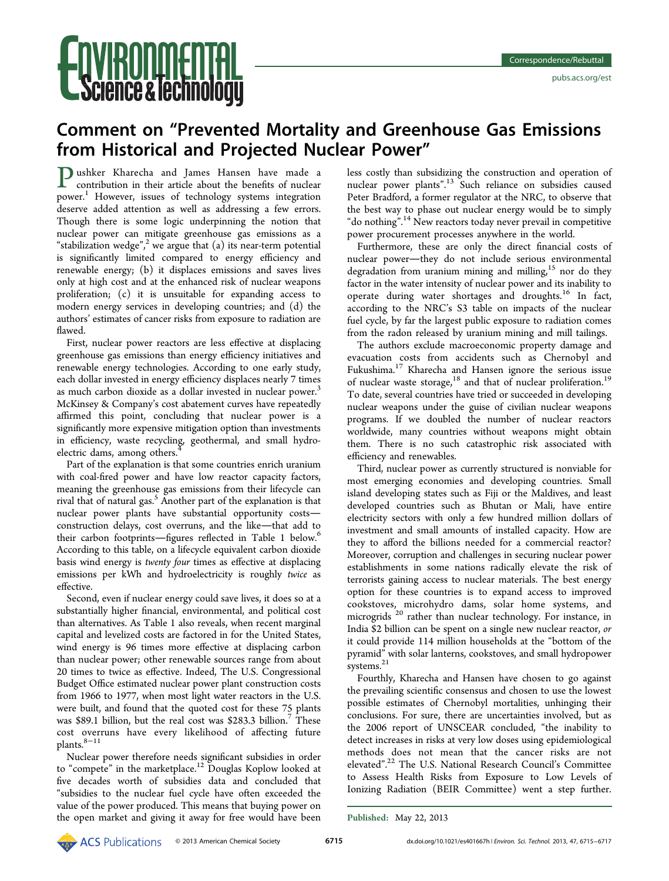# **NVIRONMENTAL<br>Science & lechnology**

# Comment on "Prevented Mortality and Greenhouse Gas Emissions from Historical and Projected Nuclear Power"

Pushker Kharecha and James Hansen have made a contribution in their article about the benefits of nuclear power.<sup>1</sup> However, issues of technology systems integration deserve added attention as well as addressing a few errors. Though there is some logic underpinning the notion that nuclear power can mitigate greenhouse gas emissions as a "stabilization wedge", [2](#page-1-0) we argue that (a) its near-term potential is significantly limited compared to energy efficiency and renewable energy; (b) it displaces emissions and saves lives only at high cost and at the enhanced risk of nuclear weapons proliferation; (c) it is unsuitable for expanding access to modern energy services in developing countries; and (d) the authors' estimates of cancer risks from exposure to radiation are flawed.

First, nuclear power reactors are less effective at displacing greenhouse gas emissions than energy efficiency initiatives and renewable energy technologies. According to one early study, each dollar invested in energy efficiency displaces nearly 7 times as much carbon dioxide as a dollar invested in nuclear power.<sup>[3](#page-1-0)</sup> McKinsey & Company's cost abatement curves have repeatedly affirmed this point, concluding that nuclear power is a significantly more expensive mitigation option than investments in efficiency, waste recycling, geothermal, and small hydroelectric dams, among others.

Part of the explanation is that some countries enrich uranium with coal-fired power and have low reactor capacity factors, meaning the greenhouse gas emissions from their lifecycle can rival that of natural gas.<sup>5</sup> Another part of the explanation is that nuclear power plants have substantial opportunity costs construction delays, cost overruns, and the like-that add to their carbon footprints—figures reflected in Table [1](#page-1-0) below.<sup>[6](#page-1-0)</sup> According to this table, on a lifecycle equivalent carbon dioxide basis wind energy is twenty four times as effective at displacing emissions per kWh and hydroelectricity is roughly twice as effective.

Second, even if nuclear energy could save lives, it does so at a substantially higher financial, environmental, and political cost than alternatives. As Table [1](#page-1-0) also reveals, when recent marginal capital and levelized costs are factored in for the United States, wind energy is 96 times more effective at displacing carbon than nuclear power; other renewable sources range from about 20 times to twice as effective. Indeed, The U.S. Congressional Budget Office estimated nuclear power plant construction costs from 1966 to 1977, when most light water reactors in the U.S. were built, and found that the quoted cost for these 75 plants was \$89.1 billion, but the real cost was \$283.3 billion[.7](#page-1-0) These cost overruns have every likelihood of affecting future plants.<sup>[8](#page-1-0)−[11](#page-2-0)</sup>

Nuclear power therefore needs significant subsidies in order to "compete" in the marketplace.<sup>[12](#page-2-0)</sup> Douglas Koplow looked at five decades worth of subsidies data and concluded that "subsidies to the nuclear fuel cycle have often exceeded the value of the power produced. This means that buying power on the open market and giving it away for free would have been

less costly than subsidizing the construction and operation of nuclear power plants".<sup>[13](#page-2-0)</sup> Such reliance on subsidies caused Peter Bradford, a former regulator at the NRC, to observe that the best way to phase out nuclear energy would be to simply "do nothing". [14](#page-2-0) New reactors today never prevail in competitive power procurement processes anywhere in the world.

Furthermore, these are only the direct financial costs of nuclear power-they do not include serious environmental degradation from uranium mining and milling,<sup>[15](#page-2-0)</sup> nor do they factor in the water intensity of nuclear power and its inability to operate during water shortages and droughts.[16](#page-2-0) In fact, according to the NRC's S3 table on impacts of the nuclear fuel cycle, by far the largest public exposure to radiation comes from the radon released by uranium mining and mill tailings.

The authors exclude macroeconomic property damage and evacuation costs from accidents such as Chernobyl and Fukushima.<sup>[17](#page-2-0)</sup> Kharecha and Hansen ignore the serious issue of nuclear waste storage,<sup>[18](#page-2-0)</sup> and that of nuclear proliferation.<sup>[19](#page-2-0)</sup> To date, several countries have tried or succeeded in developing nuclear weapons under the guise of civilian nuclear weapons programs. If we doubled the number of nuclear reactors worldwide, many countries without weapons might obtain them. There is no such catastrophic risk associated with efficiency and renewables.

Third, nuclear power as currently structured is nonviable for most emerging economies and developing countries. Small island developing states such as Fiji or the Maldives, and least developed countries such as Bhutan or Mali, have entire electricity sectors with only a few hundred million dollars of investment and small amounts of installed capacity. How are they to afford the billions needed for a commercial reactor? Moreover, corruption and challenges in securing nuclear power establishments in some nations radically elevate the risk of terrorists gaining access to nuclear materials. The best energy option for these countries is to expand access to improved cookstoves, microhydro dams, solar home systems, and microgrids  $20$  rather than nuclear technology. For instance, in India \$2 billion can be spent on a single new nuclear reactor, or it could provide 114 million households at the "bottom of the pyramid" with solar lanterns, cookstoves, and small hydropower systems.<sup>[21](#page-2-0)</sup>

Fourthly, Kharecha and Hansen have chosen to go against the prevailing scientific consensus and chosen to use the lowest possible estimates of Chernobyl mortalities, unhinging their conclusions. For sure, there are uncertainties involved, but as the 2006 report of UNSCEAR concluded, "the inability to detect increases in risks at very low doses using epidemiological methods does not mean that the cancer risks are not elevated".<sup>[22](#page-2-0)</sup> The U.S. National Research Council's Committee to Assess Health Risks from Exposure to Low Levels of Ionizing Radiation (BEIR Committee) went a step further.

Published: May 22, 2013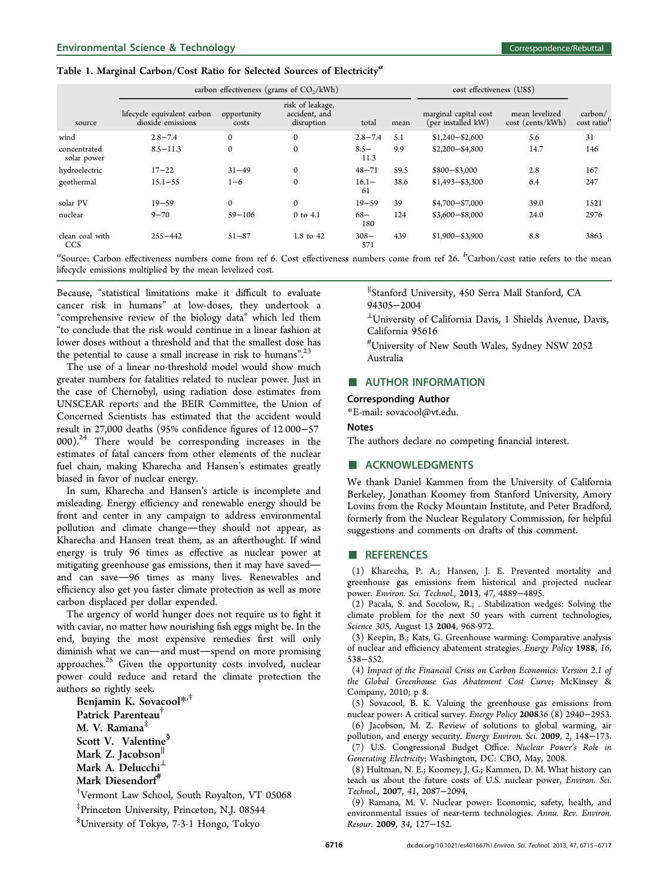#### <span id="page-1-0"></span>Table 1. Marginal Carbon/Cost Ratio for Selected Sources of Electricity<sup>a</sup>

|                             | carbon effectiveness (grams of $CO2/kWh$ )       |                      |                                                 |                 |      | cost effectiveness (US\$)                   |                                    |                                              |
|-----------------------------|--------------------------------------------------|----------------------|-------------------------------------------------|-----------------|------|---------------------------------------------|------------------------------------|----------------------------------------------|
| source                      | lifecycle equivalent carbon<br>dioxide emissions | opportunity<br>costs | risk of leakage,<br>accident, and<br>disruption | total           | mean | marginal capital cost<br>(per installed kW) | mean levelized<br>cost (cents/kWh) | $\text{carbon} /$<br>cost ratio <sup>b</sup> |
| wind                        | $2.8 - 7.4$                                      | $\mathbf{0}$         | $\mathbf{0}$                                    | $2.8 - 7.4$     | 5.1  | $$1,240 - $2,600$                           | 5.6                                | 31                                           |
| concentrated<br>solar power | $8.5 - 11.3$                                     | $\mathbf{0}$         | $\mathbf{0}$                                    | $8.5 -$<br>11.3 | 9.9  | $$2,200 - $4,800$                           | 14.7                               | 146                                          |
| hydroelectric               | $17 - 22$                                        | $31 - 49$            | $\mathbf{0}$                                    | $48 - 71$       | 59.5 | $$800 - $3,000$                             | 2.8                                | 167                                          |
| geothermal                  | $15.1 - 55$                                      | $1 - 6$              | $\mathbf{0}$                                    | $16.1 -$<br>61  | 38.6 | $$1,493 - $3,300$                           | 6.4                                | 247                                          |
| solar PV                    | $19 - 59$                                        | $\mathbf{0}$         | $\mathbf{0}$                                    | $19 - 59$       | 39   | $$4,700 - $7,000$                           | 39.0                               | 1521                                         |
| nuclear                     | $9 - 70$                                         | $59 - 106$           | $0$ to $4.1$                                    | $68 -$<br>180   | 124  | $$3,600 - $8,000$                           | 24.0                               | 2976                                         |
| clean coal with<br>CCS      | $255 - 442$                                      | $51 - 87$            | 1.8 to 42                                       | $308 -$<br>571  | 439  | $$1,900 - $3,900$                           | 8.8                                | 3863                                         |

"Source: Carbon effectiveness numbers come from ref 6. Cost effectiveness numbers come from ref [26.](#page-2-0)  ${}^{b}$ Carbon/cost ratio refers to the mean lifecycle emissions multiplied by the mean levelized cost.

Because, "statistical limitations make it difficult to evaluate cancer risk in humans" at low-doses, they undertook a "comprehensive review of the biology data" which led them "to conclude that the risk would continue in a linear fashion at lower doses without a threshold and that the smallest dose has the potential to cause a small increase in risk to humans".<sup>[23](#page-2-0)</sup>

The use of a linear no-threshold model would show much greater numbers for fatalities related to nuclear power. Just in the case of Chernobyl, using radiation dose estimates from UNSCEAR reports and the BEIR Committee, the Union of Concerned Scientists has estimated that the accident would result in 27,000 deaths (95% confidence figures of 12 000−57 000).[24](#page-2-0) There would be corresponding increases in the estimates of fatal cancers from other elements of the nuclear fuel chain, making Kharecha and Hansen's estimates greatly biased in favor of nuclear energy.

In sum, Kharecha and Hansen's article is incomplete and misleading. Energy efficiency and renewable energy should be front and center in any campaign to address environmental pollution and climate change-they should not appear, as Kharecha and Hansen treat them, as an afterthought. If wind energy is truly 96 times as effective as nuclear power at mitigating greenhouse gas emissions, then it may have saved and can save-96 times as many lives. Renewables and efficiency also get you faster climate protection as well as more carbon displaced per dollar expended.

The urgency of world hunger does not require us to fight it with caviar, no matter how nourishing fish eggs might be. In the end, buying the most expensive remedies first will only diminish what we can—and must—spend on more promising approaches.<sup>[25](#page-2-0)</sup> Given the opportunity costs involved, nuclear power could reduce and retard the climate protection the authors so rightly seek.

Benjamin K. Sovacool\*<sup>,†</sup> Patrick Parenteau† M. V. Ramana‡ Scott V. Valentine<sup>§</sup> Mark Z. Jacobson∥ Mark A. Delucchi $^{\perp}$ Mark Diesendorf<sup>#</sup>

† Vermont Law School, South Royalton, VT 05068

‡ Princeton University, Princeton, N.J. 08544

§ University of Tokyo, 7-3-1 Hongo, Tokyo

∥ Stanford University, 450 Serra Mall Stanford, CA 94305−2004

<sup>⊥</sup>University of California Davis, 1 Shields Avenue, Davis, California 95616

# University of New South Wales, Sydney NSW 2052 Australia

## **EXECUTE AUTHOR INFORMATION**

#### Corresponding Author

\*E-mail: [sovacool@vt.edu.](mailto:sovacool@vt.edu)

#### Notes

The authors declare no competing financial interest.

### ■ ACKNOWLEDGMENTS

We thank Daniel Kammen from the University of California Berkeley, Jonathan Koomey from Stanford University, Amory Lovins from the Rocky Mountain Institute, and Peter Bradford, formerly from the Nuclear Regulatory Commission, for helpful suggestions and comments on drafts of this comment.

#### ■ REFERENCES

(1) Kharecha, P. A.; Hansen, J. E. Prevented mortality and greenhouse gas emissions from historical and projected nuclear power. Environ. Sci. Technol., 2013, 47, 4889−4895.

(2) Pacala, S. and Socolow, R.; . Stabilization wedges: Solving the climate problem for the next 50 years with current technologies, Science 305, August 13 2004, 968-972.

(3) Keepin, B.; Kats, G. Greenhouse warming: Comparative analysis of nuclear and efficiency abatement strategies. Energy Policy 1988, 16, 538−552.

(4) Impact of the Financial Crisis on Carbon Economics: Version 2.1 of the Global Greenhouse Gas Abatement Cost Curve; McKinsey & Company, 2010; p 8.

(5) Sovacool, B. K. Valuing the greenhouse gas emissions from nuclear power: A critical survey. Energy Policy 200836 (8) 2940−2953. (6) Jacobson, M. Z. Review of solutions to global warming, air

pollution, and energy security. Energy Environ. Sci. 2009, 2, 148−173. (7) U.S. Congressional Budget Office. Nuclear Power's Role in Generating Electricity; Washington, DC: CBO, May, 2008.

(8) Hultman, N. E.; Koomey, J. G.; Kammen, D. M. What history can teach us about the future costs of U.S. nuclear power, Environ. Sci. Technol., 2007, 41, 2087−2094.

(9) Ramana, M. V. Nuclear power: Economic, safety, health, and environmental issues of near-term technologies. Annu. Rev. Environ. Resour. 2009, 34, 127−152.